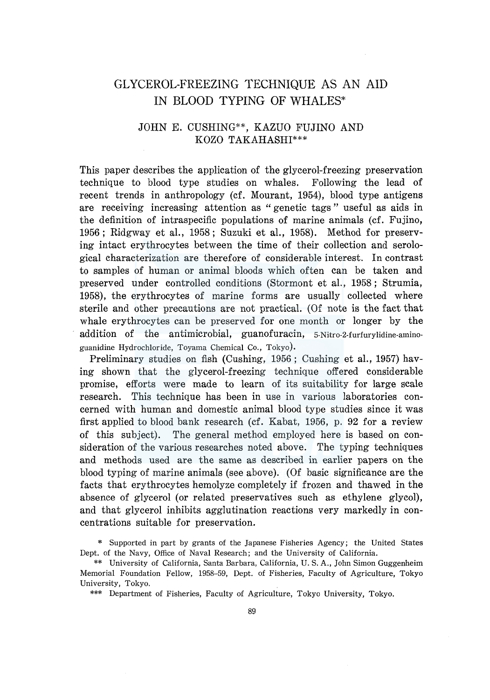## GLYCEROL-FREEZING TECHNIQUE AS AN AID IN BLOOD TYPING OF WHALES\*

### JOHN E. CUSHING\*\*, KAZUO FUJINO AND KOZO TAKAHASHI\*\*\*

This paper describes the application of the glycerol-freezing preservation technique to blood type studies on whales. Following the lead of recent trends in anthropology (cf. Mourant, 1954), blood type antigens are receiving increasing attention as " genetic tags " useful as aids in the definition of intraspecific populations of marine animals ( cf. Fujino, 1956; Ridgway et al., 1958; Suzuki et al., 1958). Method for preserving intact erythrocytes between the time of their collection and serological characterization are therefore of considerable interest. In contrast to samples of human or animal bloods which often can be taken and preserved under controlled conditions (Stormont et al., 1958 ; Strumia, 1958), the erythrocytes of marine forms are usually collected where sterile and other precautions are not practical. (Of note is the fact that whale erythrocytes can be preserved for one month or longer by the addition of the antimicrobial, guanofuracin, 5-Nitro-2-furfurylidine-aminoguanidine Hydrochloride, Toyama Chemical Co., Tokyo).

Preliminary studies on fish (Cushing, 1956; Cushing et al., 1957) having shown that the glycerol-freezing technique offered considerable promise, efforts were made to learn of its suitability for large scale research. This technique has been in use in various laboratories concerned with human and domestic animal blood type studies since it was first applied to blood bank research (cf. Kabat, 1956, p. 92 for a review of this subject). The general method employed here is based on consideration of the various researches noted above. The typing techniques and methods used are the same as described in earlier papers on the blood typing of marine animals (see above). (Of basic significance are the facts that erythrocytes hemolyze completely if frozen and thawed in the absence of glycerol (or related preservatives such as ethylene glycol), and that glycerol inhibits agglutination reactions very markedly in concentrations suitable for preservation.

\* Supported in part by grants of the Japanese Fisheries Agency; the United States Dept. of the Navy, Office of Naval Research; and the University of California.

\*\*\* Department of Fisheries, Faculty of Agriculture, Tokyo University, Tokyo.

<sup>\*\*</sup> University of California, Santa Barbara, California, U.S. A., John Simon Guggenheim Memorial Foundation Fellow, 1958-59, Dept. of Fisheries, Faculty of Agriculture, Tokyo University, Tokyo.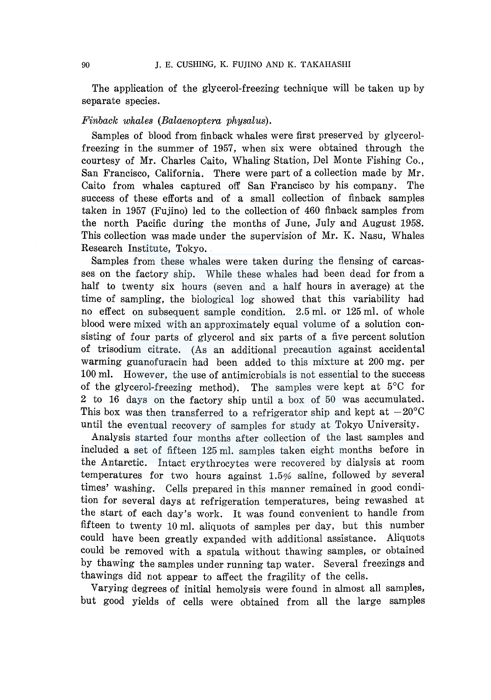The application of the glycerol-freezing technique will be taken up by separate species.

### *Finback whales (Balaenoptera physalus).*

Samples of blood from finback whales were first preserved by glycerolfreezing in the summer of 1957, when six were obtained through the courtesy of Mr. Charles Caito, Whaling Station, Del Monte Fishing Co., San Francisco, California. There were part of a collection made by Mr. Caito from whales captured off San Francisco by his company. The success of these efforts and of a small collection of finback samples taken in 1957 (Fujino) led to the collection of 460 finback samples from the north Pacific during the months of June, July and August 1958. This collection was made under the supervision of Mr. K. Nasu, Whales Research Institute, Tokyo.

Samples from these whales were taken during the flensing of carcasses on the factory ship. While these whales had been dead for from a half to twenty six hours (seven and a half hours in average) at the time of sampling, the biological log showed that this variability had no effect on subsequent sample condition. 2.5 ml. or 125 ml. of whole blood were mixed with an approximately equal volume of a solution consisting of four parts of glycerol and six parts of a five percent solution of trisodium citrate. (As an additional precaution against accidental warming guanofuracin had been added to this mixture at 200 mg. per 100 ml. However, the use of antimicrobials is not essential to the success of the glycerol-freezing method). The samples were kept at  $5^{\circ}$ C for 2 to 16 days on the factory ship until a box of 50 was accumulated. This box was then transferred to a refrigerator ship and kept at  $-20^{\circ}$ C until the eventual recovery of samples for study at Tokyo University.

Analysis started four months after collection of the last samples and included a set of fifteen 125 ml. samples taken eight months before in the Antarctic. Intact erythrocytes were recovered by dialysis at room temperatures for two hours against 1.5% saline, followed by several times' washing. Cells prepared in this manner remained in good condition for several days at refrigeration temperatures, being rewashed at the start of each day's work. It was found convenient to handle from fifteen to twenty 10 ml. aliquots of samples per day, but this number could have been greatly expanded with additional assistance. Aliquots could be removed with a spatula without thawing samples, or obtained by thawing the samples under running tap water. Several freezings and thawings did not appear to affect the fragility of the cells.

Varying degrees of initial hemolysis were found in almost all samples, but good yields of cells were obtained from all the large samples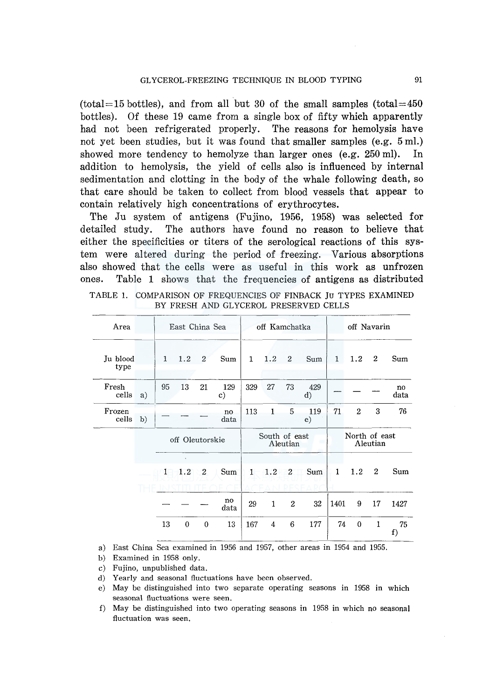(total=15 bottles), and from all but 30 of the small samples (total=450) bottles). Of these 19 came from a single box of fifty which apparently had not been refrigerated properly. The reasons for hemolysis have not yet been studies, but it was found that smaller samples (e.g. 5 ml.) showed more tendency to hemolyze than larger ones (e.g. 250 ml). In addition to hemolysis, the yield of cells also is influenced by internal sedimentation and clotting in the body of the whale following death, so that care should be taken to collect from blood vessels that appear to contain relatively high concentrations of erythrocytes.

The Ju system of antigens (Fujino, 1956, 1958) was selected for detailed study. The authors have found no reason to believe that either the specificities or titers of the serological reactions of this system were altered during the period of freezing. Various absorptions also showed that the cells were as useful in this work as unfrozen ones. Table 1 shows that the frequencies of antigens as distributed

| Area             |    |                 | East China Sea      |                |                     |               | off Kamchatka |                |                     |               | off Navarin    |              |            |
|------------------|----|-----------------|---------------------|----------------|---------------------|---------------|---------------|----------------|---------------------|---------------|----------------|--------------|------------|
| Ju blood<br>type |    | $\mathbf{1}$    | 1.2                 | $\mathfrak{p}$ | Sum                 | $\mathbf{1}$  | 1.2           | $\overline{2}$ | Sum                 | $\mathbf{1}$  | 1.2            | $\mathbf{2}$ | Sum        |
| Fresh<br>cells   | a) | 95              | 13                  | 21             | 129<br>$\mathbf{c}$ | 329           | 27            | 73             | 429<br>$\rm d$      |               |                |              | no<br>data |
| Frozen<br>cells  | b) |                 |                     |                | no<br>data          | 113           | $\mathbf{1}$  | 5              | 119<br>$\epsilon$ ) | 71            | $\overline{2}$ | 3            | 76         |
|                  |    | off Oleutorskie |                     |                |                     | South of east | Aleutian      |                |                     | North of east | Aleutian       |              |            |
|                  |    | $\mathbf{1}$    | $\mathbf{r}$<br>1.2 | $\mathbf{2}$   | Sum                 | $\mathbf{1}$  | 1.2           | $\overline{2}$ | Sum                 | $\mathbf{1}$  | 1.2            | $\mathbf{2}$ | Sum        |
|                  |    |                 |                     |                | no<br>data          | 29            | $\mathbf{1}$  | $\overline{2}$ | 32                  | 1401          | 9              | 17           | 1427       |
|                  |    | 13              | $\theta$            | $\mathbf{0}$   | 13                  | 167           | 4             | 6              | 177                 | 74            | $\mathbf{0}$   | $\mathbf{1}$ | 75<br>f)   |

TABLE 1. COMPARISON OF FREQUENCIES OF FINBACK Ju TYPES EXAMINED BY FRESH AND GLYCEROL PRESERVED CELLS

a) East China Sea examined in 1956 and 1957, other areas in 1954 and 1955.

- b) Examined in 1958 only.
- c) Fujino, unpublished data.
- d) Yearly and seasonal fluctuations have been observed.
- e) May be distinguished into two separate operating seasons in 1958 in which seasonal fluctuations were seen.
- f) May be distinguished into two operating seasons in 1958 in which no seasonal fluctuation was seen.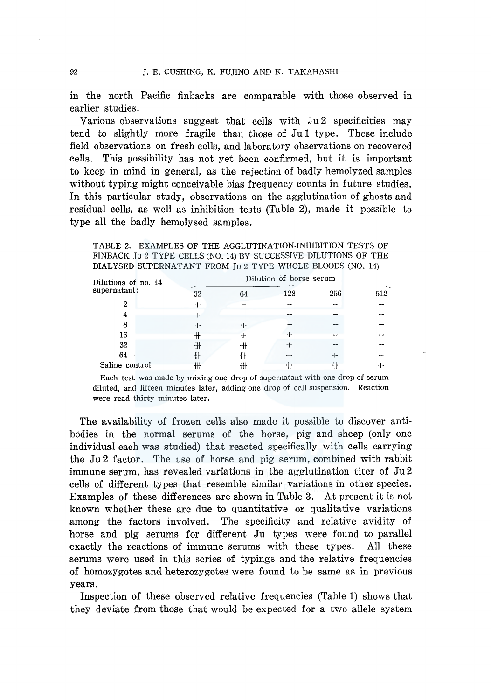in the north Pacific finbacks are comparable with those observed in earlier studies.

Various observations suggest that cells with Ju 2 specificities may tend to slightly more fragile than those of Ju1 type. These include field observations on fresh cells, and laboratory observations on recovered cells. This possibility has not yet been confirmed, but it is important to keep in mind in general, as the rejection of badly hemolyzed samples without typing might conceivable bias frequency counts in future studies. In this particular study, observations on the agglutination of ghosts and residual cells, as well as inhibition tests (Table 2), made it possible to type all the badly hemolysed samples.

TABLE 2. EXAMPLES OF THE AGGLUTINATION.INHIBITION TESTS OF FINBACK Ju 2 TYPE CELLS (NO. 14) BY SUCCESSIVE DILUTIONS OF THE DIALYSED SUPERNATANT FROM Ju 2 TYPE WHOLE BLOODS (NO. 14)

| Dilutions of no. 14 |        |    | Dilution of horse serum |     |     |
|---------------------|--------|----|-------------------------|-----|-----|
| supernatant:        | 32     | 64 | 128                     | 256 | 512 |
| 2                   | $\div$ |    |                         |     |     |
| 4                   | $+$    |    |                         |     |     |
| 8                   | ⊹      | ⊹  |                         |     |     |
| 16                  | ╫      |    |                         |     |     |
| 32                  | 卌      | ╫  | $+$                     |     |     |
| 64                  | 卌      | 卌  |                         | $+$ |     |
| Saline control      | ╫      | ╫  | ۰Ħ                      |     |     |

Saline control  $\frac{1}{10}$   $\frac{1}{10}$   $\frac{1}{10}$   $\frac{1}{10}$   $\frac{1}{10}$   $\frac{1}{10}$   $\frac{1}{10}$   $\frac{1}{10}$   $\frac{1}{10}$   $\frac{1}{10}$   $\frac{1}{10}$   $\frac{1}{10}$   $\frac{1}{10}$   $\frac{1}{10}$   $\frac{1}{10}$   $\frac{1}{10}$   $\frac{1}{10}$   $\frac{1}{10}$   $\frac{1}{10$ diluted, and fifteen minutes later, adding one drop of cell suspension. Reaction were read thirty minutes later.

The availability of frozen cells also made it possible to discover antibodies in the normal serums of the horse, pig and sheep (only one individual each was studied) that reacted specifically with cells carrying the Ju2 factor. The use of horse and pig serum, combined with rabbit immune serum, has revealed variations in the agglutination titer of Ju 2 cells of different types that resemble similar variations in other species. Examples of these differences are shown in Table 3. At present it is not known whether these are due to quantitative or qualitative variations among the factors involved. The specificity and relative avidity of horse and pig serums for different Ju types were found to parallel exactly the reactions of immune serums with these types. All these serums were used in this series of typings and the relative frequencies of homozygotes and heterozygotes were found to be same as in previous years.

Inspection of these observed relative frequencies (Table 1) shows that they deviate from those that would be expected for a two allele system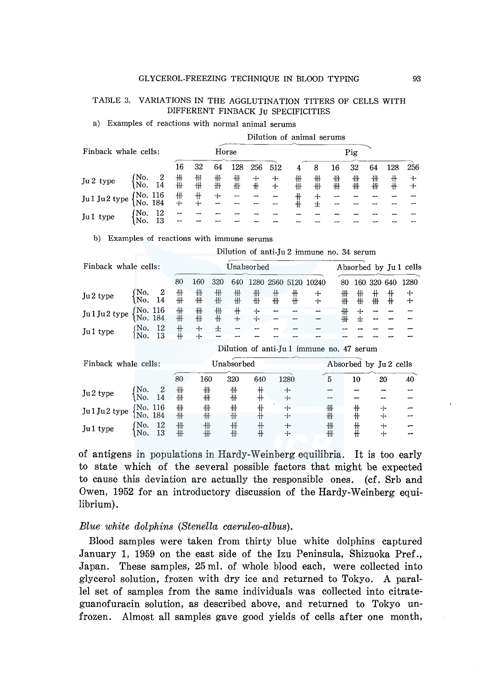### TABLE 3. VARIATIONS IN THE AGGLUTINATION TITERS OF CELLS WITH DIFFERENT FINBACK Ju SPECIFICITIES

### a) Examples of reactions with normal animal serums

|                      |                     |          |        |          |        |        |        | Dilution of animal serums |        |          |        |        |        |        |        |
|----------------------|---------------------|----------|--------|----------|--------|--------|--------|---------------------------|--------|----------|--------|--------|--------|--------|--------|
| Finback whale cells: |                     |          |        |          | Horse  |        |        |                           |        |          |        | Pig    |        |        |        |
|                      |                     |          | 16     | 32       | 64     | 128    | 256    | 512                       |        | 8        | 16     | 32     | 64     | 128    | 256    |
| Ju 2 type            | No.<br>No.          | 2<br>14  | ╫<br>卅 | ╫<br>卌   | ╫<br>╫ | ╫<br>╫ | ┿<br>╫ | ┿<br>┿                    | ╫<br>卅 | ╫<br>╫   | ╫<br>╫ | ╫<br>╫ | 卌<br>₩ | ╫<br>╫ | ╈<br>┿ |
| Jul Jul type         | (No. 116<br>No. 184 |          | ╫<br>∓ | ╫<br>$+$ | +      | –      |        |                           |        | $+$<br>士 | -<br>- |        |        |        |        |
| Jul type             | 'No.<br>No.         | 12<br>13 | --     |          |        |        |        |                           |        |          |        |        |        |        |        |

b) Examples of reactions with immune serums

Dilution of anti-Ju 2 immune no. 34 serum

| Finback whale cells: |                      |          |          |            | Unabsorbed |                |                   |          |               |                                           |                        |        | Absorbed by Jul cells |             |             |
|----------------------|----------------------|----------|----------|------------|------------|----------------|-------------------|----------|---------------|-------------------------------------------|------------------------|--------|-----------------------|-------------|-------------|
|                      |                      |          | 80       | 160        | 320        | 640            | 1280              |          |               | 2560 5120 10240                           | 80                     |        | 160 320               | 640         | 1280        |
| Ju2 type             | No.<br>No.           | 2<br>14  | ╫<br>╫   | ╫<br>╫     | ╫<br>╫     | ╫<br>╫         | ╫<br>╫            | $+$<br>╫ | ╫<br>$+$      | ┿<br>┿                                    | ₩<br>╫                 | ╫<br>╫ | 卄<br>₩                | ╫<br>╫      | ÷<br>$\div$ |
| Jul Ju2 type         | No. 116<br> No. 184  |          | ╫<br>╫   | ╫<br>╫     | ╫<br>╫     | $^+$<br>$\div$ | $+$<br>$+$        |          |               |                                           | ₩<br>╫                 | ┿<br>士 |                       |             |             |
| Jul type             | No.<br>No.           | 12<br>13 | ╫<br>$+$ | $+$<br>$+$ | 士          |                | ⊷                 |          |               |                                           |                        |        |                       |             |             |
|                      |                      |          |          |            |            |                |                   |          |               | Dilution of anti-Ju 1 immune no. 47 serum |                        |        |                       |             |             |
| Finback whale cells: |                      |          |          |            |            | Unabsorbed     |                   |          |               |                                           | Absorbed by Ju 2 cells |        |                       |             |             |
|                      |                      |          | 80       | 160        |            | 320            | 640               |          | 1280          |                                           | 5                      | 10     |                       | 20          | 40          |
| Ju2 type             | No.<br>No.           | 2<br>14  | ╫<br>╫   | ╫<br>╫     |            | ╫<br>╫         | ╫<br>$+$          |          | ┿<br>⊹        |                                           |                        |        |                       |             |             |
| Jul Ju2 type         | (No. 116<br>¦No. 184 |          | ╫<br>╫   | ╫<br>╫     |            | ╫<br>╫         | $^{\rm +}$<br>$+$ |          | ⊹<br>⊹        |                                           | ╫<br>╫                 | ╫<br>╫ |                       | ┿<br>┿      |             |
| Jul type             | Mo.<br>No.           | 12<br>13 | ╫<br>₩   | ╫<br>╫     |            | ₩<br>╫         | ╫<br>$+$          |          | $\div$<br>$+$ |                                           | ₩<br>╫                 | ╫<br>╫ |                       | $\div$<br>┿ |             |
|                      |                      |          |          |            |            |                |                   |          |               |                                           |                        |        |                       |             |             |

of antigens in populations in Hardy-Weinberg equilibria. It is too early to state which of the several possible factors that might be expected to cause this deviation are actually the responsible ones. (cf. Srb and Owen, 1952 for an introductory discussion of the Hardy-Weinberg equilibrium).

### *Blue white dolphins (Stenella caeruleo-albus).*

Blood samples were taken from thirty blue white dolphins captured January 1, 1959 on the east side of the Izu Peninsula, Shizuoka Pref., Japan. These samples, 25 ml. of whole blood each, were collected into glycerol solution, frozen with dry ice and returned to Tokyo. A parallel set of samples from the same individuals was collected into citrateguanofuracin solution, as described above, and returned to Tokyo unfrozen. Almost all samples gave good yields of cells after one month,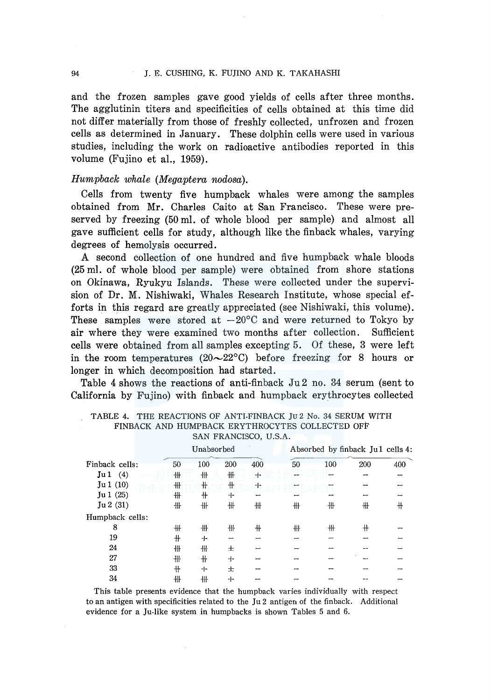and the frozen samples gave good yields of cells after three months. The agglutinin titers and specificities of cells obtained at this time did not differ materially from those of freshly collected, unfrozen and frozen cells as determined in January. These dolphin cells were used in various studies, including the work on radioactive antibodies reported in this volume (Fujino et al., 1959).

### *Humpback whale (Megaptera nodosa).*

Cells from twenty five humpback whales were among the samples obtained from Mr. Charles Caito at San Francisco. These were preserved by freezing (50 ml. of whole blood per sample) and almost all gave sufficient cells for study, although like the finback whales, varying degrees of hemolysis occurred.

A second collection of one hundred and five humpback whale bloods (25 ml. of whole blood per sample) were obtained from shore stations on Okinawa, Ryukyu Islands. These were collected under the supervision of Dr. M. Nishiwaki, Whales Research Institute, whose special efforts in this regard are greatly appreciated (see Nishiwaki, this volume). These samples were stored at  $-20^{\circ}$ C and were returned to Tokyo by air where they were examined two months after collection. Sufficient cells were obtained from all samples excepting 5. Of these, 3 were left in the room temperatures (20 $\sim$ 22°C) before freezing for 8 hours or longer in which decomposition had started.

Table 4 shows the reactions of anti-finback Ju 2 no. 34 serum (sent to California by Fujino) with finback and humpback erythrocytes collected

|                 |            | Unabsorbed |     |     |    |     | Absorbed by finback Jul cells 4: |     |
|-----------------|------------|------------|-----|-----|----|-----|----------------------------------|-----|
| Finback cells:  | 50         | 100        | 200 | 400 | 50 | 100 | 200                              | 400 |
| Ju 1<br>(4)     | ₩          | 卌          | ╫   | $+$ | -  |     |                                  |     |
| Ju1(10)         | ╫          | ╫          | $+$ | ┿   |    |     |                                  |     |
| Ju1(25)         | ₩          | ╫          | $+$ |     |    |     |                                  |     |
| Ju 2(31)        | ╫          | ₩          | 卅   | ₩   | ₩  | ╫   | #                                | #   |
| Humpback cells: |            |            |     |     |    |     |                                  |     |
| 8               | ₩          | ╫          | 卌   | ╫   | ╫  | ╫   | ╫                                |     |
| 19              | $^{\rm +}$ | $+$        |     |     |    |     |                                  |     |
| 24              | 卌          | ₩          | 土   |     |    |     |                                  |     |
| 27              | ₩          | ╫          | $+$ |     |    |     |                                  |     |
| 33              | $+$        | $+$        | 士   |     |    |     |                                  |     |
| 34              | ╫          | ╫          | ┿   |     |    |     |                                  |     |
|                 |            |            |     |     |    |     |                                  |     |

TABLE 4. THE REACTIONS OF ANTI-FINBACK Ju 2 No. 34 SERUM WITH FINBACK AND HUMPBACK ERYTHROCYTES COLLECTED OFF SAN FRANCISCO, U.S.A.

This table presents evidence that the humpback varies individually with respect to an antigen with specificities related to the Ju 2 antigen of the finback. Additional evidence for a Ju-like system in humpbacks is shown Tables 5 and 6.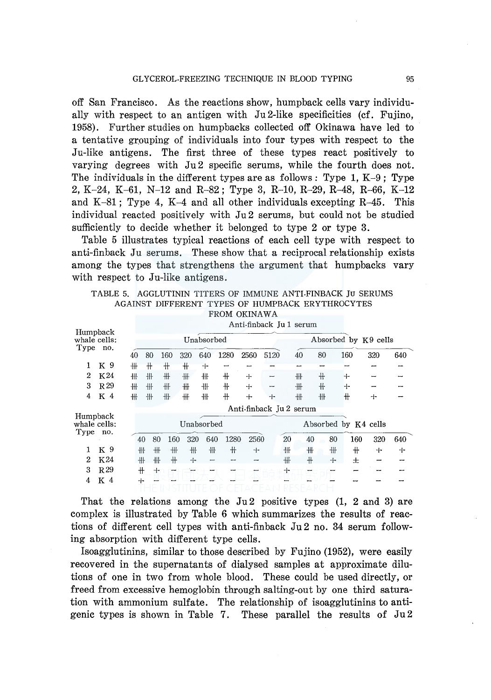off San Francisco. As the reactions show, humpback cells vary individually with respect to an antigen with Ju2-like specificities (cf. Fujino, 1958). Further studies on humpbacks collected off Okinawa have led to a tentative grouping of individuals into four types with respect to the Ju-like antigens. The first three of these types react positively to varying degrees with Ju 2 specific serums, while the fourth does not. The individuals in the different types are as follows: Type 1,  $K-9$ : Type 2, K-24, K-61, N-12 and R-82; Type 3, R-10, R-29, R-48, R-66, K-12 and K-81; Type 4, K-4 and all other individuals excepting  $R$ -45. This individual reacted positively with Ju2 serums, but could not be studied sufficiently to decide whether it belonged to type 2 or type 3.

Table 5 illustrates typical reactions of each cell type with respect to anti-finback Ju serums. These show that a reciprocal relationship exists among the types that strengthens the argument that humpbacks vary with respect to Ju-like antigens.

|  | TABLE 5. AGGLUTININ TITERS OF IMMUNE ANTI-FINBACK JU SERUMS |  |  |              |  |  |  |
|--|-------------------------------------------------------------|--|--|--------------|--|--|--|
|  | AGAINST DIFFERENT TYPES OF HUMPBACK ERYTHROCYTES            |  |  |              |  |  |  |
|  |                                                             |  |  | FROM OKINAWA |  |  |  |

| Humpback                         |                 |    |     |     |     |                                 |      | Anti-finback Ju 1 serum |      |    |     |     |                      |     |     |
|----------------------------------|-----------------|----|-----|-----|-----|---------------------------------|------|-------------------------|------|----|-----|-----|----------------------|-----|-----|
| whale cells:<br>Type             | no.             |    |     |     |     | Unabsorbed                      |      |                         |      |    |     |     | Absorbed by K9 cells |     |     |
|                                  |                 | 40 | 80  | 160 | 320 | 640                             | 1280 | 2560                    | 5120 |    | 40  | 80  | 160                  | 320 | 640 |
| 1                                | K 9             | ╫  | $+$ | ╫   | ╫   | $+$                             |      |                         |      |    |     |     |                      |     |     |
| 2                                | K24             | ╫  | 卅   | ₩   | ₩   | ╫                               | $+$  | $+$                     |      |    | 卌   | $+$ | ⊹                    |     |     |
| 3                                | R <sub>29</sub> | ╫  | ╫   | 卌   | ₩   | ╫                               | ╫    | ┿                       |      |    | 卅   | ╫   | $+$                  |     |     |
| 4                                | K <sub>4</sub>  | ₩  | ╫   | 卅   | ╫   | 卌                               | $+$  | $+$                     | 4-   |    | ₩   | 卌   | ╫                    | ┿   |     |
|                                  |                 |    |     |     |     |                                 |      | Anti-finback Ju 2 serum |      |    |     |     |                      |     |     |
| Humpback<br>whale cells:<br>Type | no.             |    |     |     |     | Unabsorbed                      |      |                         |      |    |     |     | Absorbed by K4 cells |     |     |
|                                  |                 |    | 40  | 80  | 160 | 320<br>640                      | 1280 | 2560                    |      | 20 | 40  | 80  | 160                  | 320 | 640 |
| 1                                | K 9             |    | ╫   | 卄   | 卅   | 卌<br>卌                          | 卄    | $+$                     |      | ╫  | ╫   | ╫   | $+$                  | ⊹   | ┿   |
| $\mathbf{2}$                     | K24             |    | 卌   | ╫   | $+$ | $+$<br>$\overline{\phantom{0}}$ |      | --                      |      | ╫  | $+$ | $+$ | 士                    |     |     |
| 3                                | R <sub>29</sub> |    | ╫   | ⊹   | --  |                                 |      |                         |      | ⊹  |     |     |                      |     |     |
| 4                                | K <sub>4</sub>  |    | $+$ |     |     |                                 |      |                         |      |    |     |     |                      |     |     |

That the relations among the  $Ju2$  positive types  $(1, 2, and 3)$  are complex is illustrated by Table 6 which summarizes the results of reactions of different cell types with anti-finback Ju2 no. 34 serum following absorption with different type cells.

Isoagglutinins, similar to those described by Fujino (1952), were easily recovered in the supernatants of dialysed samples at approximate dilutions of one in two from whole blood. These could be used directly, or freed from excessive hemoglobin through salting-out by one third saturation with ammonium sulfate. The relationship of isoagglutinins to antigenic types is shown in Table 7. These parallel the results of Ju 2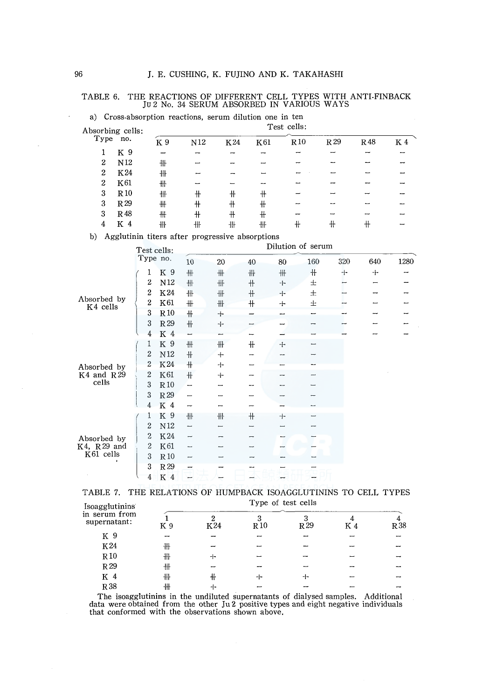# TABLE 6. THE REACTIONS OF DIFFERENT CELL TYPES WITH ANTI-FINBACK Ju 2 No. 34 SERUM ABSORBED IN VARIOUS WAYS

| Absorbing cells: |                 |     |     |            | Test cells: |          |                 |     |     |
|------------------|-----------------|-----|-----|------------|-------------|----------|-----------------|-----|-----|
| Type             | no.             | K 9 | N12 | K24        | K61         | $R_{10}$ | R <sub>29</sub> | R48 | K 4 |
|                  | K 9             |     |     |            |             |          |                 |     |     |
| $\boldsymbol{2}$ | N <sub>12</sub> | ₩   |     |            |             |          |                 |     |     |
| $\mathbf{2}$     | K24             | ╫   |     |            |             |          |                 |     |     |
| $\boldsymbol{2}$ | K61             | ╫   |     |            | --          |          |                 |     |     |
| 3                | $R_{10}$        | ₩   | ╫   | $^{\rm +}$ | ╫           |          |                 |     |     |
| 3                | R <sub>29</sub> | ╫   | $+$ | ╫          | ╫           |          |                 |     |     |
| 3                | R48             | ₩   | $+$ | $+$        | ╫           |          |                 |     |     |
| 4                | K<br>4          | ╫   | ╫   | 卌          | 卌           | ╫        | ╫               | ╫   |     |
|                  |                 |     |     |            |             |          |                 |     |     |

a) Cross-absorption reactions, serum dilution one in ten

b) Agglutinin titers after progressive absorptions

|                         | Test cells:      |                 |     |     |      |     | Dilution of serum |     |     |      |
|-------------------------|------------------|-----------------|-----|-----|------|-----|-------------------|-----|-----|------|
|                         | Type no.         |                 | 10  | 20  | 40   | 80  | 160               | 320 | 640 | 1280 |
|                         | 1                | K 9             | ₩   | #   | 卅    | #   | ╫                 | $+$ | $+$ |      |
|                         | 2                | N12             | 卌   | 卌   | $\#$ | ⊹   | 土                 |     |     |      |
|                         | 2                | K24             | 卅   | 卌   | $+$  | ⊹   | 士                 |     |     |      |
| Absorbed by<br>K4 cells | $\overline{2}$   | K61             | ╫   | ₩   | ╫    | $+$ | 士                 |     |     |      |
|                         | 3                | R10             | $+$ | $+$ |      |     |                   |     |     |      |
|                         | 3                | R <sub>29</sub> | 卄   | ⊹   |      |     |                   |     |     |      |
|                         | 4                | K 4             |     |     |      |     |                   |     |     |      |
|                         | 1                | K 9             | ₩   | ₩   | $+$  | $+$ |                   |     |     |      |
|                         | 2                | $\rm N12$       | $+$ | $+$ |      |     |                   |     |     |      |
| Absorbed by             | $\boldsymbol{2}$ | K24             | $+$ | $+$ |      |     |                   |     |     |      |
| $K4$ and $R29$          | $\boldsymbol{2}$ | K61             | $+$ | $+$ |      |     |                   |     |     |      |
| cells                   | 3                | R10             | —   |     |      |     |                   |     |     |      |
|                         | 3                | R29             |     |     |      |     |                   |     |     |      |
|                         | 4                | K 4             | -   |     |      |     |                   |     |     |      |
|                         | 1                | K 9             | ╫   | ╫   | $+$  | $+$ |                   |     |     |      |
|                         | $\overline{2}$   | N12             | -   |     |      |     |                   |     |     |      |
| Absorbed by             | $\overline{2}$   | K24             | ⊷   |     |      |     |                   |     |     |      |
| K4, R29 and             | $\mathbf{2}$     | K61             |     |     |      |     |                   |     |     |      |
| K61 cells               | 3                | R10             |     |     |      |     |                   |     |     |      |
|                         | 3                | R 29            |     |     |      |     |                   |     |     |      |
|                         | 4                | K 4             |     |     |      |     |                   |     |     |      |

|                |  |  | TABLE 7. THE RELATIONS OF HUMPBACK ISOAGGLUTININS TO CELL TYPES |  |  |
|----------------|--|--|-----------------------------------------------------------------|--|--|
| Icongglutining |  |  | Type of test cells                                              |  |  |

| <b>Isoagglutinins</b>                                                                                                                                                    |     |           |           | Type of test cells |     |      |
|--------------------------------------------------------------------------------------------------------------------------------------------------------------------------|-----|-----------|-----------|--------------------|-----|------|
| in serum from<br>supernatant:                                                                                                                                            | K 9 | Ω<br>K 24 | 3<br>R 10 | R <sub>29</sub>    | K 4 | R 38 |
| K 9                                                                                                                                                                      |     |           |           |                    |     |      |
| K24                                                                                                                                                                      | ╫   |           |           |                    |     |      |
| R10                                                                                                                                                                      | ╫   | ⊣∽        |           |                    |     |      |
| R 29                                                                                                                                                                     | ╫   |           |           |                    |     |      |
| K 4                                                                                                                                                                      | ╫   | ╫         | ∸         | ⊹                  |     |      |
| R 38                                                                                                                                                                     | ╫   | ⊹         |           |                    |     |      |
| The isongglutinins in the undiluted supernatants of dialysed samples. Additional<br>data were obtained from the other Ju 2 positive types and eight negative individuals |     |           |           |                    |     |      |

that conformed with the observations shown above,

 $\overline{a}$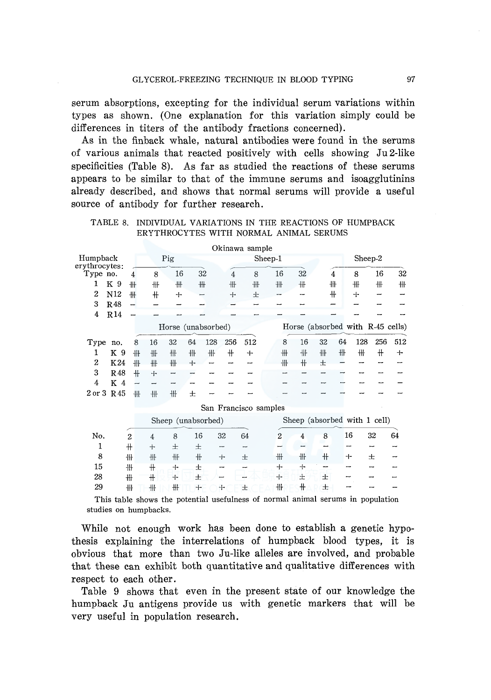serum absorptions, excepting for the individual serum variations within types as shown. (One explanation for this variation simply could be differences in titers of the antibody fractions concerned).

As in the finback whale, natural antibodies were found in the serums of various animals that reacted positively with cells showing Ju 2-like specificities (Table 8). As far as studied the reactions of these serums appears to be similar to that of the immune serums and isoagglutinins already described, and shows that normal serums will provide a useful source of antibody for further research.

TABLE 8. INDIVIDUAL VARIATIONS IN THE REACTIONS OF HUMPBACK ERYTHROCYTES WITH NORMAL ANIMAL SERUMS

|                           |                      |                          |                |                    |     |     |                          | Okinawa sample        |         |                |                                                                                 |       |    |     |         |     |
|---------------------------|----------------------|--------------------------|----------------|--------------------|-----|-----|--------------------------|-----------------------|---------|----------------|---------------------------------------------------------------------------------|-------|----|-----|---------|-----|
| Humpback<br>erythrocytes: |                      |                          |                | Pig                |     |     |                          |                       | Sheep-1 |                |                                                                                 |       |    |     | Sheep-2 |     |
| Type no.                  |                      | 4                        | 8              | 16                 |     | 32  | $\overline{4}$           | 8                     |         | 16             | 32                                                                              | 4     |    | 8   | 16      | 32  |
| 1                         | K 9                  | 卌                        | 卌              | ╫                  | ╫   |     | ╫                        | ╫                     |         | ₩              | 卌                                                                               | ╫     |    | ╫   | ₩       | ╫   |
| 2                         | N <sub>12</sub>      | ₩                        | $+$            | $+$                | ╾   |     | $+$                      | 士                     |         |                |                                                                                 | ╫     |    | ┿   |         |     |
| 3                         | R48                  |                          |                |                    |     |     |                          |                       |         |                |                                                                                 |       |    |     |         |     |
| 4                         | ${\bf R}\, {\bf 14}$ |                          |                |                    |     |     |                          |                       |         |                |                                                                                 |       |    |     |         |     |
|                           |                      |                          |                | Horse (unabsorbed) |     |     |                          |                       |         |                | Horse (absorbed with R-45 cells)                                                |       |    |     |         |     |
| Type                      | no.                  | 8                        | 16             | 32                 | 64  | 128 | 256                      | 512                   |         | 8              | 16                                                                              | 32    | 64 | 128 | 256     | 512 |
| 1                         | K 9                  | 卌                        | ╫              | 卌                  | 卌   | 卝   | ╫                        | $\div$                |         | ₩              | 卄                                                                               | ╫     | 卌  | ╫   | $^+$    | ┿   |
| $\overline{2}$            | K24                  | ₩.                       | 卅              | ╫                  | ┿   |     |                          |                       |         | ╫              | ╫                                                                               | 士     |    |     | -       |     |
| 3                         | <b>R48</b>           | 44                       | ┿              | ÷                  |     |     |                          |                       |         |                |                                                                                 |       |    |     |         |     |
| 4                         | K 4                  | $\overline{\phantom{0}}$ | --             | --                 |     |     |                          |                       |         |                |                                                                                 |       |    |     |         |     |
| 2 or 3 R 45               |                      | 卅                        | ₩              | ₩                  | 士   |     |                          |                       |         |                |                                                                                 |       |    |     |         |     |
|                           |                      |                          |                |                    |     |     |                          | San Francisco samples |         |                |                                                                                 |       |    |     |         |     |
|                           |                      |                          |                | Sheep (unabsorbed) |     |     |                          |                       |         |                | Sheep (absorbed with 1 cell)                                                    |       |    |     |         |     |
| No.                       |                      | $\overline{2}$           | $\overline{4}$ | 8                  | 16  |     | 32                       | 64                    |         | $\overline{2}$ | 4                                                                               | 8     | 16 |     | 32      | 64  |
| 1                         |                      | $+$                      | $+$            | 士                  | 士   |     | $\overline{\phantom{0}}$ | ⊷                     |         |                |                                                                                 |       |    |     |         |     |
| 8                         |                      | ╫                        | 卌              | 卅                  | $+$ |     | $+$                      | 士                     |         | ₩              | ₩                                                                               | $\pm$ | ┿  |     | 土       |     |
| 15                        |                      | ╫                        | $+$            | $+$                | 士   |     | --                       | -                     |         | $+$            | 4-                                                                              |       |    |     |         |     |
| 28                        |                      | ╫                        | $+$            | $+$                | 士   |     |                          |                       |         | $+$            | 士                                                                               | 士     |    |     |         |     |
| 29                        |                      | ╫                        | ╫              | ₩                  | $+$ |     | ⊹                        | 士                     |         | ₩              | $+$                                                                             | 士     |    |     |         |     |
|                           |                      |                          |                |                    |     |     |                          |                       |         |                | This table shows the potential usefulness of normal animal serums in population |       |    |     |         |     |

studies on humpbacks.

While not enough work has been done to establish a genetic hypothesis explaining the interrelations of humpback blood types, it is obvious that more than two Ju-like alleles are involved, and probable that these can exhibit both quantitative and qualitative differences with respect to each other.

Table 9 shows that even in the present state of our knowledge the humpback Ju antigens provide us with genetic markers that will be very useful in population research.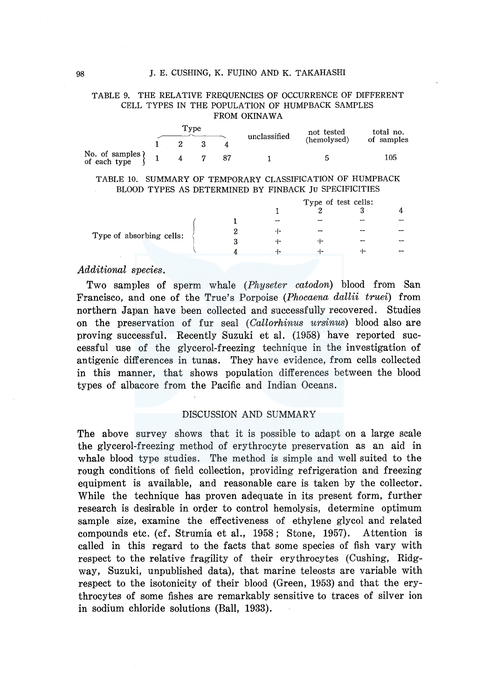### TABLE 9. THE RELATIVE FREQUENCIES OF OCCURRENCE OF DIFFERENT CELL TYPES IN THE POPULATION OF HUMPBACK SAMPLES FROM OKINAWA

|                                  | Tvpe |  |     |  | unclassified | not tested  | total no.  |  |
|----------------------------------|------|--|-----|--|--------------|-------------|------------|--|
|                                  |      |  |     |  |              | (hemolysed) | of samples |  |
| No. of samples }<br>of each type |      |  | 4 7 |  |              | 5           | 105        |  |

### TABLE 10. SUMMARY OF TEMPORARY CLASSIFICATION OF HUMPBACK BLOOD TYPES AS DETERMINED BY FINBACK JU SPECIFICITIES

|                          |  | Type of test cells: |    |    |  |  |
|--------------------------|--|---------------------|----|----|--|--|
|                          |  |                     |    |    |  |  |
|                          |  | -                   |    |    |  |  |
| Type of absorbing cells: |  |                     | -- | -  |  |  |
|                          |  |                     |    | -- |  |  |
|                          |  | --                  | ∸  |    |  |  |
|                          |  |                     |    |    |  |  |

### *Additional species.*

Two samples of sperm whale *(Physeter catodon)* blood from San Francisco, and one of the True's Porpoise *(Phocaena dallii truei)* from northern Japan have been collected and successfully recovered. Studies on the preservation of fur seal *(Callorhinus ursinus)* blood also are proving successful. Recently Suzuki et al. (1958) have reported successful use of the glycerol-freezing technique in the investigation of antigenic differences in tunas. They have evidence, from cells collected in this manner, that shows population differences between the blood types of albacore from the Pacific and Indian Oceans.

### DISCUSSION AND SUMMARY

The above survey shows that it is possible to adapt on a large scale the glycerol-freezing method of erythrocyte preservation as an aid in whale blood type studies. The method is simple and well suited to the rough conditions of field collection, providing refrigeration and freezing equipment is available, and reasonable care is taken by the collector. While the technique has proven adequate in its present form, further research is desirable in order to control hemolysis, determine optimum sample size, examine the effectiveness of ethylene glycol and related compounds etc. (cf. Strumia et al., 1958; Stone, 1957). Attention is called in this regard to the facts that some species of fish vary with respect to the relative fragility of their erythrocytes (Cushing, Ridgway, Suzuki, unpublished data), that marine teleosts are variable with respect to the isotonicity of their blood (Green, 1953) and that the erythrocytes of some fishes are remarkably sensitive to traces of silver ion in sodium chloride solutions (Ball, 1933).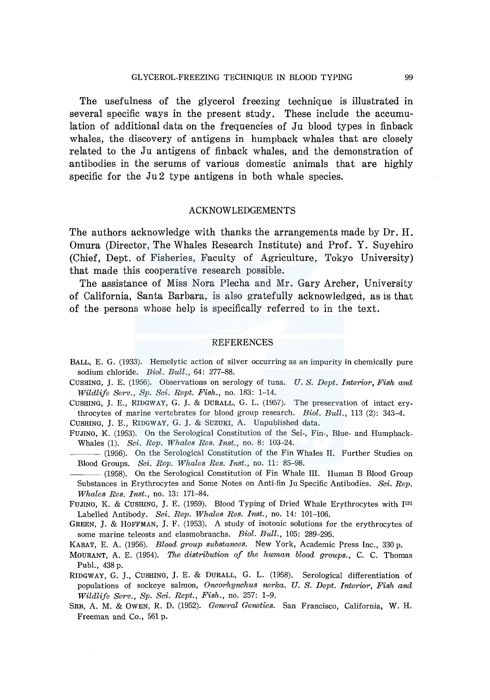The usefulness of the glycerol freezing technique is illustrated in several specific ways in the present study. These include the accumulation of additional data on the frequencies of Ju blood types in finback whales, the discovery of antigens in humpback whales that are closely related to the Ju antigens of finback whales, and the demonstration of antibodies in the serums of various domestic animals that are highly specific for the Ju2 type antigens in both whale species.

### ACKNOWLEDGEMENTS

The authors acknowledge with thanks the arrangements made by Dr. H. Omura (Director, The Whales Research Institute) and Prof. Y. Suyehiro (Chief, Dept. of Fisheries, Faculty of Agriculture, Tokyo University) that made this cooperative research possible.

The assistance of Miss Nora Plecha and Mr. Gary Archer, University of California, Santa Barbara, is also gratefully acknowledged, as is that of the persons whose help is specifically referred to in the text.

### REFERENCES

- BALL, E. G. (1933). Hemolytic action of silver occurring as an impurity in chemically pure sodium chloride. *Biol. Bull.,* 64: 277-88.
- CUSHING, J. E. (1956). Observations on serology of tuna\_ *U.S. Dept. Interior, Fish and Wildlife Serv., Sp. Sci. Rept. Fish.,* no. 183: 1-14.

CUSHING, J. E., RIDGWAY, G. J. & DURALL, G. L. (1957). The preservation of intact erythrocytes of marine vertebrates for blood group research. *Biol. Bull.,* 113 (2): 343-4.

CUSHING, J. E., RIDGWAY, G. J. & SUZUKI, A. Unpublished data.

- FUJINO, K. (1953). On the Serological Constitution of the Sei-, Fin-, Blue- and Humpback-Whales (1). *Sci. Rep. Whales Res. Inst.,* no. 8: 103-24.
- (1956). On the Serological Constitution of the Fin Whales II. Further Studies on Blood Groups. *Sci. Rep. Whales Res. Inst.,* no. 11: 85-98.

(1958). On the Serological Constitution of Fin Whale III. Human B Blood Group Substances in Erythrocytes and Some Notes on Anti-fin Ju Specific Antibodies. *Sci. Rep. Whales Res. Inst.,* no. 13: 171-84.

FUJINO, K. & CUSHING, J. E. (1959). Blood Typing of Dried Whale Erythrocytes with J131 Labelled Antibody. *Sci. Rep. Whales Res. Inst.,* no. 14: 101-106.

GREEN, J. & HOFFMAN, J. F. (1953). A study of isotonic solutions for the erythrocytes of some marine teleosts and elasmobranchs. *Biol. Bull.,* 105: 289-295.

KABAT, E. A. (1956). *Blood group substanaes.* New York, Academic Press Inc., 330 p.

- MOURANT, A. E. (1954). *The distribution of the human blood groups.,* C. C. Thomas Pub!., 438 p.
- RIDGWAY, G. J., CUSHING, J. E. & DURALL, G. L. (1958). Serological differentiation of populations of sockeye salmon, *Onaorhynchus nerka. U. S. Dept. Interior, Fish and Wildlife Serv., Sp. Sci. Rept., Fish.,* no. 257: 1-9.
- SRB, A. M. & OWEN, R. D. (1952). *General Genetias.* San Francisco, California, W. H. Freeman and Co., 561 p.